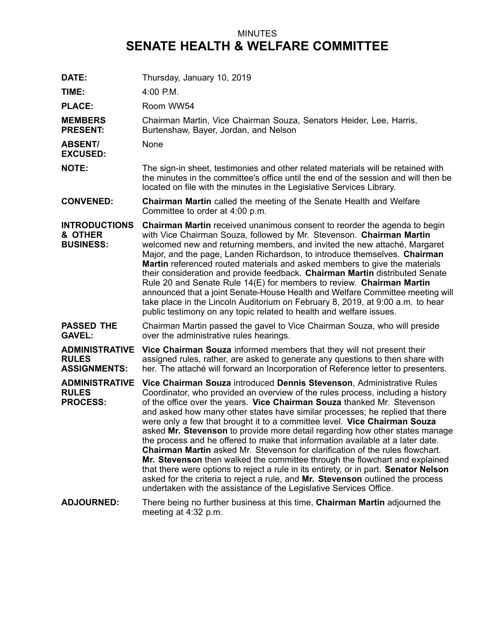## MINUTES **SENATE HEALTH & WELFARE COMMITTEE**

| DATE:                                                        | Thursday, January 10, 2019                                                                                                                                                                                                                                                                                                                                                                                                                                                                                                                                                                                                                                                                                                                                                                                                                                                                                                                                                                  |
|--------------------------------------------------------------|---------------------------------------------------------------------------------------------------------------------------------------------------------------------------------------------------------------------------------------------------------------------------------------------------------------------------------------------------------------------------------------------------------------------------------------------------------------------------------------------------------------------------------------------------------------------------------------------------------------------------------------------------------------------------------------------------------------------------------------------------------------------------------------------------------------------------------------------------------------------------------------------------------------------------------------------------------------------------------------------|
| TIME:                                                        | $4:00$ P.M.                                                                                                                                                                                                                                                                                                                                                                                                                                                                                                                                                                                                                                                                                                                                                                                                                                                                                                                                                                                 |
|                                                              |                                                                                                                                                                                                                                                                                                                                                                                                                                                                                                                                                                                                                                                                                                                                                                                                                                                                                                                                                                                             |
| <b>PLACE:</b>                                                | Room WW54                                                                                                                                                                                                                                                                                                                                                                                                                                                                                                                                                                                                                                                                                                                                                                                                                                                                                                                                                                                   |
| <b>MEMBERS</b><br><b>PRESENT:</b>                            | Chairman Martin, Vice Chairman Souza, Senators Heider, Lee, Harris,<br>Burtenshaw, Bayer, Jordan, and Nelson                                                                                                                                                                                                                                                                                                                                                                                                                                                                                                                                                                                                                                                                                                                                                                                                                                                                                |
| <b>ABSENT/</b><br><b>EXCUSED:</b>                            | None                                                                                                                                                                                                                                                                                                                                                                                                                                                                                                                                                                                                                                                                                                                                                                                                                                                                                                                                                                                        |
| <b>NOTE:</b>                                                 | The sign-in sheet, testimonies and other related materials will be retained with<br>the minutes in the committee's office until the end of the session and will then be<br>located on file with the minutes in the Legislative Services Library.                                                                                                                                                                                                                                                                                                                                                                                                                                                                                                                                                                                                                                                                                                                                            |
| <b>CONVENED:</b>                                             | <b>Chairman Martin</b> called the meeting of the Senate Health and Welfare<br>Committee to order at 4:00 p.m.                                                                                                                                                                                                                                                                                                                                                                                                                                                                                                                                                                                                                                                                                                                                                                                                                                                                               |
| <b>INTRODUCTIONS</b><br>& OTHER<br><b>BUSINESS:</b>          | <b>Chairman Martin</b> received unanimous consent to reorder the agenda to begin<br>with Vice Chairman Souza, followed by Mr. Stevenson. Chairman Martin<br>welcomed new and returning members, and invited the new attaché, Margaret<br>Major, and the page, Landen Richardson, to introduce themselves. Chairman<br><b>Martin</b> referenced routed materials and asked members to give the materials<br>their consideration and provide feedback. Chairman Martin distributed Senate<br>Rule 20 and Senate Rule 14(E) for members to review. Chairman Martin<br>announced that a joint Senate-House Health and Welfare Committee meeting will<br>take place in the Lincoln Auditorium on February 8, 2019, at 9:00 a.m. to hear<br>public testimony on any topic related to health and welfare issues.                                                                                                                                                                                   |
| <b>PASSED THE</b><br><b>GAVEL:</b>                           | Chairman Martin passed the gavel to Vice Chairman Souza, who will preside<br>over the administrative rules hearings.                                                                                                                                                                                                                                                                                                                                                                                                                                                                                                                                                                                                                                                                                                                                                                                                                                                                        |
| <b>ADMINISTRATIVE</b><br><b>RULES</b><br><b>ASSIGNMENTS:</b> | Vice Chairman Souza informed members that they will not present their<br>assigned rules, rather, are asked to generate any questions to then share with<br>her. The attaché will forward an Incorporation of Reference letter to presenters.                                                                                                                                                                                                                                                                                                                                                                                                                                                                                                                                                                                                                                                                                                                                                |
| <b>ADMINISTRATIVE</b><br><b>RULES</b><br><b>PROCESS:</b>     | Vice Chairman Souza introduced Dennis Stevenson, Administrative Rules<br>Coordinator, who provided an overview of the rules process, including a history<br>of the office over the years. Vice Chairman Souza thanked Mr. Stevenson<br>and asked how many other states have similar processes; he replied that there<br>were only a few that brought it to a committee level. Vice Chairman Souza<br>asked Mr. Stevenson to provide more detail regarding how other states manage<br>the process and he offered to make that information available at a later date.<br><b>Chairman Martin</b> asked Mr. Stevenson for clarification of the rules flowchart.<br>Mr. Stevenson then walked the committee through the flowchart and explained<br>that there were options to reject a rule in its entirety, or in part. Senator Nelson<br>asked for the criteria to reject a rule, and Mr. Stevenson outlined the process<br>undertaken with the assistance of the Legislative Services Office. |
| <b>ADJOURNED:</b>                                            | There being no further business at this time, Chairman Martin adjourned the<br>meeting at 4:32 p.m.                                                                                                                                                                                                                                                                                                                                                                                                                                                                                                                                                                                                                                                                                                                                                                                                                                                                                         |